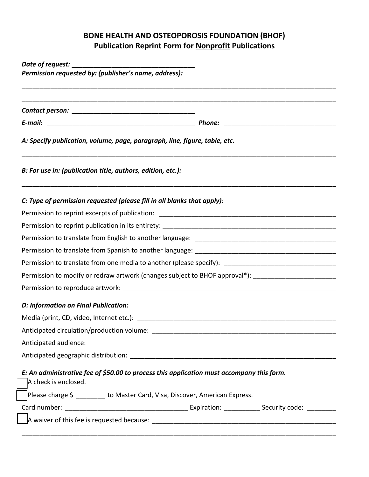## **BONE HEALTH AND OSTEOPOROSIS FOUNDATION (BHOF) Publication Reprint Form for Nonprofit Publications**

| A: Specify publication, volume, page, paragraph, line, figure, table, etc. |                                                                                                                                                                                                                                |  |
|----------------------------------------------------------------------------|--------------------------------------------------------------------------------------------------------------------------------------------------------------------------------------------------------------------------------|--|
| B: For use in: (publication title, authors, edition, etc.):                |                                                                                                                                                                                                                                |  |
| C: Type of permission requested (please fill in all blanks that apply):    |                                                                                                                                                                                                                                |  |
|                                                                            |                                                                                                                                                                                                                                |  |
|                                                                            |                                                                                                                                                                                                                                |  |
|                                                                            |                                                                                                                                                                                                                                |  |
|                                                                            |                                                                                                                                                                                                                                |  |
|                                                                            | Permission to translate from one media to another (please specify): _______________________________                                                                                                                            |  |
|                                                                            | Permission to modify or redraw artwork (changes subject to BHOF approval*): _______________________                                                                                                                            |  |
|                                                                            |                                                                                                                                                                                                                                |  |
| D: Information on Final Publication:                                       |                                                                                                                                                                                                                                |  |
|                                                                            | Media (print, CD, video, Internet etc.): Next and the state of the state of the state of the state of the state of the state of the state of the state of the state of the state of the state of the state of the state of the |  |
|                                                                            |                                                                                                                                                                                                                                |  |
| Anticipated circulation/production volume: _________                       |                                                                                                                                                                                                                                |  |
|                                                                            |                                                                                                                                                                                                                                |  |
|                                                                            |                                                                                                                                                                                                                                |  |
| A check is enclosed.                                                       | E: An administrative fee of \$50.00 to process this application must accompany this form.                                                                                                                                      |  |
|                                                                            | Please charge \$ ________ to Master Card, Visa, Discover, American Express.                                                                                                                                                    |  |